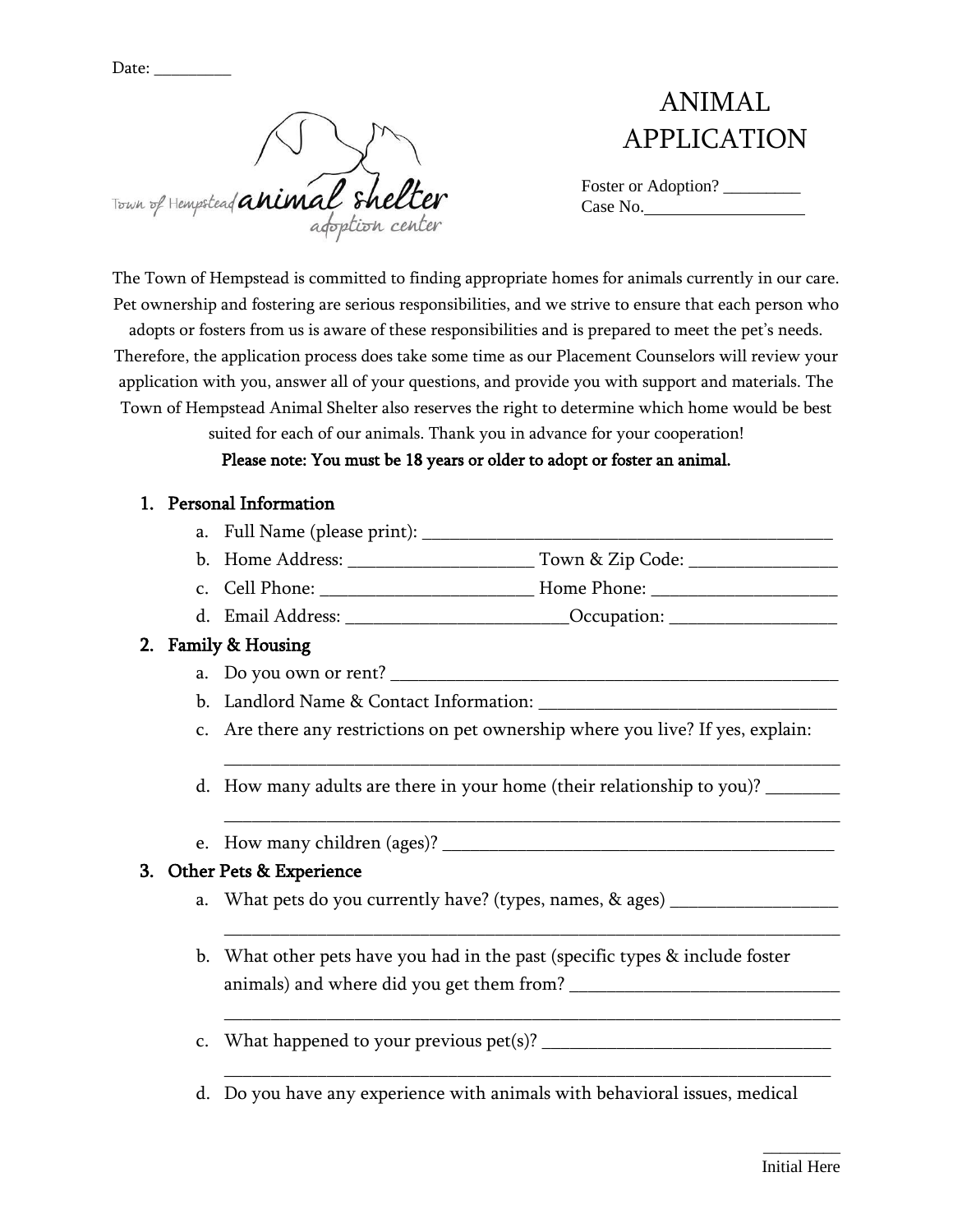Date:

Town of Hempstead animal shelter

# ANIMAL APPLICATION

| Foster or Adoption? |  |
|---------------------|--|
| Case No.            |  |

The Town of Hempstead is committed to finding appropriate homes for animals currently in our care. Pet ownership and fostering are serious responsibilities, and we strive to ensure that each person who

adopts or fosters from us is aware of these responsibilities and is prepared to meet the pet's needs. Therefore, the application process does take some time as our Placement Counselors will review your application with you, answer all of your questions, and provide you with support and materials. The Town of Hempstead Animal Shelter also reserves the right to determine which home would be best

suited for each of our animals. Thank you in advance for your cooperation!

#### Please note: You must be 18 years or older to adopt or foster an animal.

#### 1. Personal Information

- a. Full Name (please print): \_\_\_\_\_\_\_\_\_\_\_\_\_\_\_\_\_\_\_\_\_\_\_\_\_\_\_\_\_\_\_\_\_\_\_\_\_\_\_\_\_\_\_\_
- b. Home Address: \_\_\_\_\_\_\_\_\_\_\_\_\_\_\_\_\_\_\_\_\_\_\_\_\_ Town & Zip Code: \_\_\_\_\_\_\_\_\_\_\_\_\_\_\_\_\_\_\_\_
- c. Cell Phone: **Example 2** Home Phone: **Home Phone:**  $\blacksquare$
- d. Email Address:  $Occupation:$

### 2. Family & Housing

- a. Do you own or rent?
- b. Landlord Name & Contact Information:
- c. Are there any restrictions on pet ownership where you live? If yes, explain:

\_\_\_\_\_\_\_\_\_\_\_\_\_\_\_\_\_\_\_\_\_\_\_\_\_\_\_\_\_\_\_\_\_\_\_\_\_\_\_\_\_\_\_\_\_\_\_\_\_\_\_\_\_\_\_\_\_\_\_\_\_\_\_\_\_\_

\_\_\_\_\_\_\_\_\_\_\_\_\_\_\_\_\_\_\_\_\_\_\_\_\_\_\_\_\_\_\_\_\_\_\_\_\_\_\_\_\_\_\_\_\_\_\_\_\_\_\_\_\_\_\_\_\_\_\_\_\_\_\_\_\_\_

\_\_\_\_\_\_\_\_\_\_\_\_\_\_\_\_\_\_\_\_\_\_\_\_\_\_\_\_\_\_\_\_\_\_\_\_\_\_\_\_\_\_\_\_\_\_\_\_\_\_\_\_\_\_\_\_\_\_\_\_\_\_\_\_\_\_

\_\_\_\_\_\_\_\_\_\_\_\_\_\_\_\_\_\_\_\_\_\_\_\_\_\_\_\_\_\_\_\_\_\_\_\_\_\_\_\_\_\_\_\_\_\_\_\_\_\_\_\_\_\_\_\_\_\_\_\_\_\_\_\_\_\_

\_\_\_\_\_\_\_\_\_\_\_\_\_\_\_\_\_\_\_\_\_\_\_\_\_\_\_\_\_\_\_\_\_\_\_\_\_\_\_\_\_\_\_\_\_\_\_\_\_\_\_\_\_\_\_\_\_\_\_\_\_\_\_\_\_

- d. How many adults are there in your home (their relationship to you)? \_\_\_\_\_\_\_\_
- e. How many children (ages)?

#### 3. Other Pets & Experience

- a. What pets do you currently have? (types, names, & ages) \_\_\_\_\_\_\_\_\_\_\_\_\_\_\_\_\_\_\_\_\_
- b. What other pets have you had in the past (specific types & include foster animals) and where did you get them from? \_\_\_\_\_\_\_\_\_\_\_\_\_\_\_\_\_\_\_\_\_\_\_\_\_\_\_\_\_
- c. What happened to your previous pet(s)? \_\_\_\_\_\_\_\_\_\_\_\_\_\_\_\_\_\_\_\_\_\_\_\_\_\_\_\_\_\_\_
- d. Do you have any experience with animals with behavioral issues, medical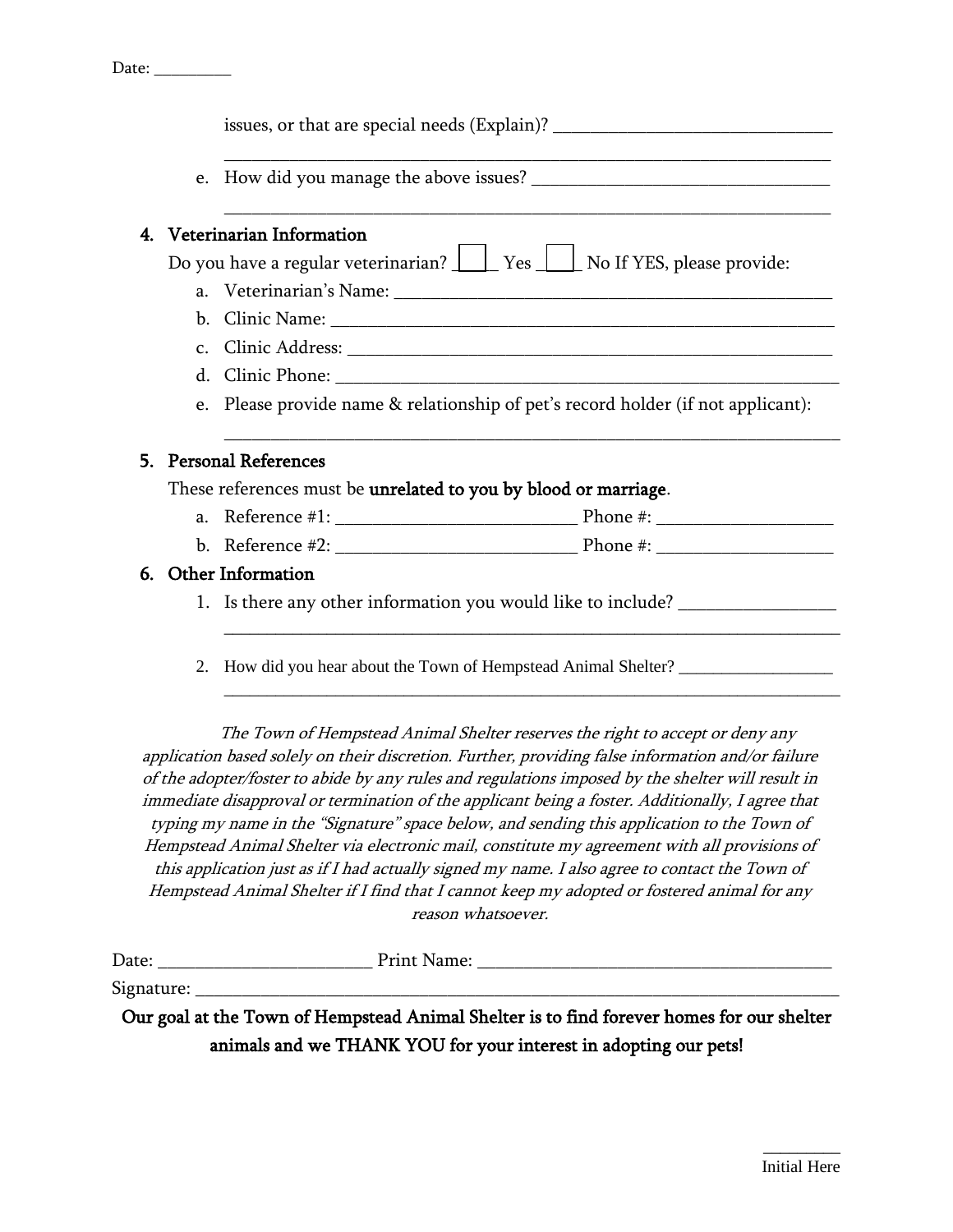|    |                             | issues, or that are special needs (Explain)? ___________________________________  |  |  |
|----|-----------------------------|-----------------------------------------------------------------------------------|--|--|
|    |                             |                                                                                   |  |  |
|    | 4. Veterinarian Information |                                                                                   |  |  |
|    |                             | Do you have a regular veterinarian? Ves U No If YES, please provide:              |  |  |
|    |                             |                                                                                   |  |  |
|    |                             |                                                                                   |  |  |
|    |                             |                                                                                   |  |  |
|    |                             |                                                                                   |  |  |
|    |                             | e. Please provide name & relationship of pet's record holder (if not applicant):  |  |  |
|    |                             | 5. Personal References                                                            |  |  |
|    |                             | These references must be unrelated to you by blood or marriage.                   |  |  |
|    |                             |                                                                                   |  |  |
|    |                             |                                                                                   |  |  |
| 6. |                             | <b>Other Information</b>                                                          |  |  |
|    |                             | 1. Is there any other information you would like to include? ___________________  |  |  |
|    | 2.                          | How did you hear about the Town of Hempstead Animal Shelter? ____________________ |  |  |

The Town of Hempstead Animal Shelter reserves the right to accept or deny any application based solely on their discretion. Further, providing false information and/or failure of the adopter/foster to abide by any rules and regulations imposed by the shelter will result in immediate disapproval or termination of the applicant being a foster. Additionally, I agree that typing my name in the "Signature" space below, and sending this application to the Town of Hempstead Animal Shelter via electronic mail, constitute my agreement with all provisions of this application just as if I had actually signed my name. I also agree to contact the Town of Hempstead Animal Shelter if I find that I cannot keep my adopted or fostered animal for any reason whatsoever.

| $\overline{\phantom{0}}$<br>- 1217<br>Dace | .<br>. <u>.</u> .<br>. <b>.</b><br>. . |
|--------------------------------------------|----------------------------------------|
|                                            |                                        |

Signature: \_\_\_\_\_\_\_\_\_\_\_\_\_\_\_\_\_\_\_\_\_\_\_\_\_\_\_\_\_\_\_\_\_\_\_\_\_\_\_\_\_\_\_\_\_\_\_\_\_\_\_\_\_\_\_\_\_\_\_\_\_\_\_\_\_\_\_\_\_

Our goal at the Town of Hempstead Animal Shelter is to find forever homes for our shelter animals and we THANK YOU for your interest in adopting our pets!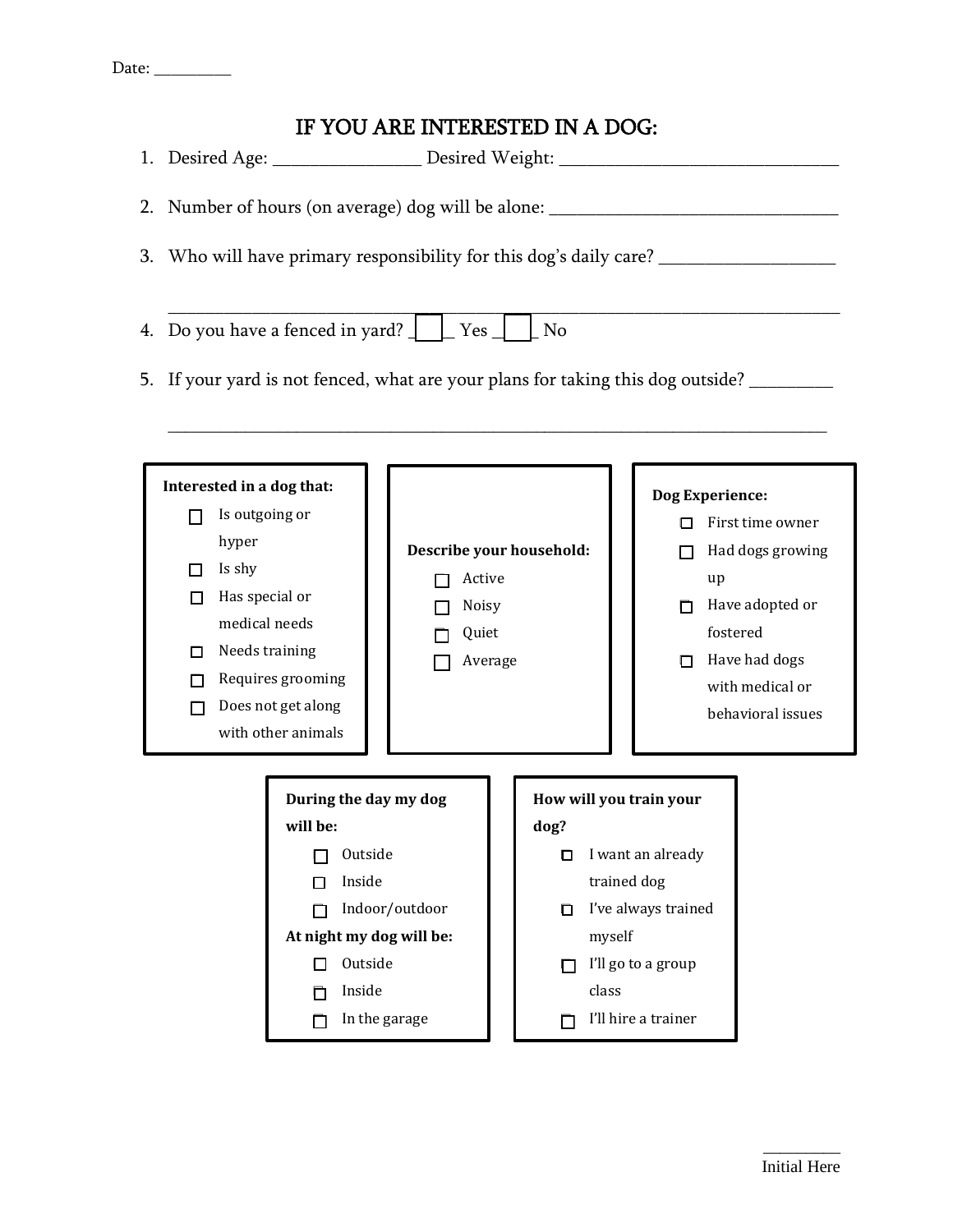## IF YOU ARE INTERESTED IN A DOG:

1. Desired Age: \_\_\_\_\_\_\_\_\_\_\_\_\_\_\_\_\_\_\_ Desired Weight: \_\_\_\_\_\_\_\_\_\_\_\_\_\_\_\_\_\_\_\_\_\_\_\_\_\_\_\_ 2. Number of hours (on average) dog will be alone: \_\_\_\_\_\_\_\_\_\_\_\_\_\_\_\_\_\_\_\_\_\_\_\_\_\_\_\_\_\_ 3. Who will have primary responsibility for this dog's daily care? \_\_\_\_\_\_\_\_\_\_\_\_\_\_\_\_\_\_\_\_\_\_\_\_\_\_\_\_\_\_\_\_\_\_\_\_\_\_\_\_\_\_\_\_\_\_\_\_\_\_\_\_\_\_\_\_\_\_\_\_\_\_\_\_\_\_\_\_\_\_\_\_ 4. Do you have a fenced in yard?  $\Box$  Yes  $\Box$  No 5. If your yard is not fenced, what are your plans for taking this dog outside? \_\_\_\_\_\_\_\_\_\_\_\_\_\_\_\_\_\_\_\_\_\_\_\_\_\_\_\_\_\_\_\_\_\_\_\_\_\_\_\_\_\_\_\_\_\_\_\_\_\_\_\_\_\_\_\_\_\_\_\_\_\_\_\_\_\_\_\_\_\_\_\_\_\_\_\_\_